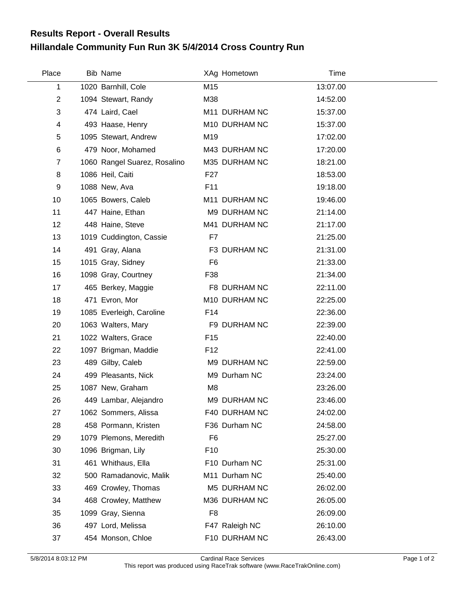## **Hillandale Community Fun Run 3K 5/4/2014 Cross Country Run Results Report - Overall Results**

| Place          | <b>Bib Name</b>              |                 | XAg Hometown   | Time     |  |
|----------------|------------------------------|-----------------|----------------|----------|--|
| 1              | 1020 Barnhill, Cole          | M15             |                | 13:07.00 |  |
| $\overline{2}$ | 1094 Stewart, Randy          | M38             |                | 14:52.00 |  |
| 3              | 474 Laird, Cael              |                 | M11 DURHAM NC  | 15:37.00 |  |
| 4              | 493 Haase, Henry             |                 | M10 DURHAM NC  | 15:37.00 |  |
| 5              | 1095 Stewart, Andrew         | M19             |                | 17:02.00 |  |
| 6              | 479 Noor, Mohamed            |                 | M43 DURHAM NC  | 17:20.00 |  |
| $\overline{7}$ | 1060 Rangel Suarez, Rosalino |                 | M35 DURHAM NC  | 18:21.00 |  |
| 8              | 1086 Heil, Caiti             | F <sub>27</sub> |                | 18:53.00 |  |
| 9              | 1088 New, Ava                | F11             |                | 19:18.00 |  |
| 10             | 1065 Bowers, Caleb           |                 | M11 DURHAM NC  | 19:46.00 |  |
| 11             | 447 Haine, Ethan             |                 | M9 DURHAM NC   | 21:14.00 |  |
| 12             | 448 Haine, Steve             |                 | M41 DURHAM NC  | 21:17.00 |  |
| 13             | 1019 Cuddington, Cassie      | F7              |                | 21:25.00 |  |
| 14             | 491 Gray, Alana              |                 | F3 DURHAM NC   | 21:31.00 |  |
| 15             | 1015 Gray, Sidney            | F <sub>6</sub>  |                | 21:33.00 |  |
| 16             | 1098 Gray, Courtney          | F38             |                | 21:34.00 |  |
| 17             | 465 Berkey, Maggie           |                 | F8 DURHAM NC   | 22:11.00 |  |
| 18             | 471 Evron, Mor               |                 | M10 DURHAM NC  | 22:25.00 |  |
| 19             | 1085 Everleigh, Caroline     | F <sub>14</sub> |                | 22:36.00 |  |
| 20             | 1063 Walters, Mary           |                 | F9 DURHAM NC   | 22:39.00 |  |
| 21             | 1022 Walters, Grace          | F <sub>15</sub> |                | 22:40.00 |  |
| 22             | 1097 Brigman, Maddie         | F <sub>12</sub> |                | 22:41.00 |  |
| 23             | 489 Gilby, Caleb             |                 | M9 DURHAM NC   | 22:59.00 |  |
| 24             | 499 Pleasants, Nick          |                 | M9 Durham NC   | 23:24.00 |  |
| 25             | 1087 New, Graham             | M <sub>8</sub>  |                | 23:26.00 |  |
| 26             | 449 Lambar, Alejandro        |                 | M9 DURHAM NC   | 23:46.00 |  |
| 27             | 1062 Sommers, Alissa         |                 | F40 DURHAM NC  | 24:02.00 |  |
| 28             | 458 Pormann, Kristen         |                 | F36 Durham NC  | 24:58.00 |  |
| 29             | 1079 Plemons, Meredith       | F <sub>6</sub>  |                | 25:27.00 |  |
| 30             | 1096 Brigman, Lily           | F <sub>10</sub> |                | 25:30.00 |  |
| 31             | 461 Whithaus, Ella           |                 | F10 Durham NC  | 25:31.00 |  |
| 32             | 500 Ramadanovic, Malik       |                 | M11 Durham NC  | 25:40.00 |  |
| 33             | 469 Crowley, Thomas          |                 | M5 DURHAM NC   | 26:02.00 |  |
| 34             | 468 Crowley, Matthew         |                 | M36 DURHAM NC  | 26:05.00 |  |
| 35             | 1099 Gray, Sienna            | F <sub>8</sub>  |                | 26:09.00 |  |
| 36             | 497 Lord, Melissa            |                 | F47 Raleigh NC | 26:10.00 |  |
| 37             | 454 Monson, Chloe            |                 | F10 DURHAM NC  | 26:43.00 |  |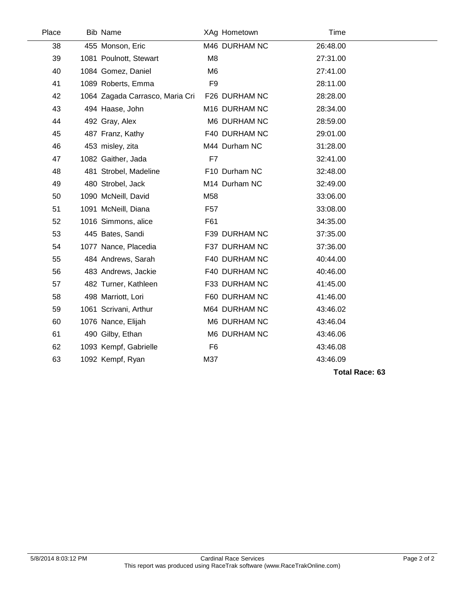| Place | <b>Bib Name</b>                 |                 | XAg Hometown  | Time     |  |
|-------|---------------------------------|-----------------|---------------|----------|--|
| 38    | 455 Monson, Eric                |                 | M46 DURHAM NC | 26:48.00 |  |
| 39    | 1081 Poulnott, Stewart          | M <sub>8</sub>  |               | 27:31.00 |  |
| 40    | 1084 Gomez, Daniel              | M6              |               | 27:41.00 |  |
| 41    | 1089 Roberts, Emma              | F <sub>9</sub>  |               | 28:11.00 |  |
| 42    | 1064 Zagada Carrasco, Maria Cri |                 | F26 DURHAM NC | 28:28.00 |  |
| 43    | 494 Haase, John                 |                 | M16 DURHAM NC | 28:34.00 |  |
| 44    | 492 Gray, Alex                  |                 | M6 DURHAM NC  | 28:59.00 |  |
| 45    | 487 Franz, Kathy                |                 | F40 DURHAM NC | 29:01.00 |  |
| 46    | 453 misley, zita                |                 | M44 Durham NC | 31:28.00 |  |
| 47    | 1082 Gaither, Jada              | F7              |               | 32:41.00 |  |
| 48    | 481 Strobel, Madeline           |                 | F10 Durham NC | 32:48.00 |  |
| 49    | 480 Strobel, Jack               |                 | M14 Durham NC | 32:49.00 |  |
| 50    | 1090 McNeill, David             | M58             |               | 33:06.00 |  |
| 51    | 1091 McNeill, Diana             | F <sub>57</sub> |               | 33:08.00 |  |
| 52    | 1016 Simmons, alice             | F61             |               | 34:35.00 |  |
| 53    | 445 Bates, Sandi                |                 | F39 DURHAM NC | 37:35.00 |  |
| 54    | 1077 Nance, Placedia            |                 | F37 DURHAM NC | 37:36.00 |  |
| 55    | 484 Andrews, Sarah              |                 | F40 DURHAM NC | 40:44.00 |  |
| 56    | 483 Andrews, Jackie             |                 | F40 DURHAM NC | 40:46.00 |  |
| 57    | 482 Turner, Kathleen            |                 | F33 DURHAM NC | 41:45.00 |  |
| 58    | 498 Marriott, Lori              |                 | F60 DURHAM NC | 41:46.00 |  |
| 59    | 1061 Scrivani, Arthur           |                 | M64 DURHAM NC | 43:46.02 |  |
| 60    | 1076 Nance, Elijah              |                 | M6 DURHAM NC  | 43:46.04 |  |
| 61    | 490 Gilby, Ethan                |                 | M6 DURHAM NC  | 43:46.06 |  |
| 62    | 1093 Kempf, Gabrielle           | F <sub>6</sub>  |               | 43:46.08 |  |
| 63    | 1092 Kempf, Ryan                | M37             |               | 43:46.09 |  |
|       |                                 |                 |               |          |  |

**Total Race: 63**

 $\overline{\phantom{a}}$